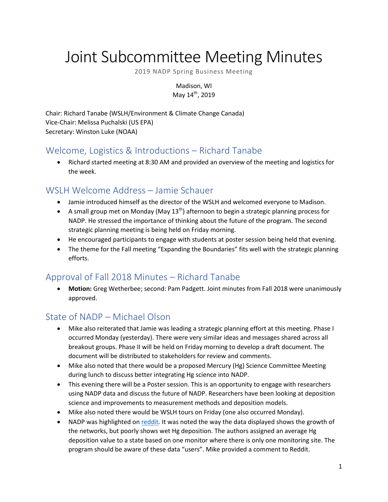# Joint Subcommittee Meeting Minutes

2019 NADP Spring Business Meeting

Madison, WI May 14<sup>th</sup>, 2019

Chair: Richard Tanabe (WSLH/Environment & Climate Change Canada) Vice-Chair: Melissa Puchalski (US EPA) Secretary: Winston Luke (NOAA)

# Welcome, Logistics & Introductions – Richard Tanabe

 Richard started meeting at 8:30 AM and provided an overview of the meeting and logistics for the week.

### WSLH Welcome Address – Jamie Schauer

- Jamie introduced himself as the director of the WSLH and welcomed everyone to Madison.
- A small group met on Monday (May  $13<sup>th</sup>$ ) afternoon to begin a strategic planning process for NADP. He stressed the importance of thinking about the future of the program. The second strategic planning meeting is being held on Friday morning.
- He encouraged participants to engage with students at poster session being held that evening.
- The theme for the Fall meeting "Expanding the Boundaries" fits well with the strategic planning efforts.

# Approval of Fall 2018 Minutes – Richard Tanabe

 **Motion:** Greg Wetherbee; second: Pam Padgett. Joint minutes from Fall 2018 were unanimously approved.

# State of NADP – Michael Olson

- Mike also reiterated that Jamie was leading a strategic planning effort at this meeting. Phase I occurred Monday (yesterday). There were very similar ideas and messages shared across all breakout groups. Phase II will be held on Friday morning to develop a draft document. The document will be distributed to stakeholders for review and comments.
- Mike also noted that there would be a proposed Mercury (Hg) Science Committee Meeting during lunch to discuss better integrating Hg science into NADP.
- This evening there will be a Poster session. This is an opportunity to engage with researchers using NADP data and discuss the future of NADP. Researchers have been looking at deposition science and improvements to measurement methods and deposition models.
- Mike also noted there would be WSLH tours on Friday (one also occurred Monday).
- NADP was highlighted on [reddit.](https://datasciencetexts.com/diversions/us_mercury_map.html) It was noted the way the data displayed shows the growth of the networks, but poorly shows wet Hg deposition. The authors assigned an average Hg deposition value to a state based on one monitor where there is only one monitoring site. The program should be aware of these data "users". Mike provided a comment to Reddit.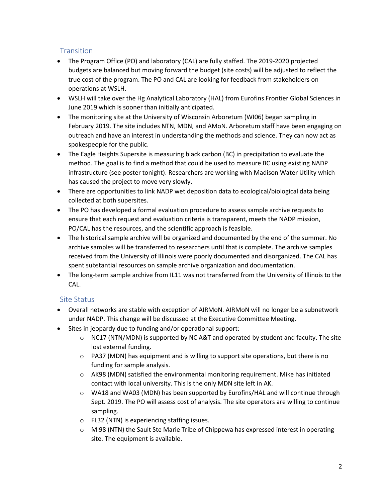#### **Transition**

- The Program Office (PO) and laboratory (CAL) are fully staffed. The 2019-2020 projected budgets are balanced but moving forward the budget (site costs) will be adjusted to reflect the true cost of the program. The PO and CAL are looking for feedback from stakeholders on operations at WSLH.
- WSLH will take over the Hg Analytical Laboratory (HAL) from Eurofins Frontier Global Sciences in June 2019 which is sooner than initially anticipated.
- The monitoring site at the University of Wisconsin Arboretum (WI06) began sampling in February 2019. The site includes NTN, MDN, and AMoN. Arboretum staff have been engaging on outreach and have an interest in understanding the methods and science. They can now act as spokespeople for the public.
- The Eagle Heights Supersite is measuring black carbon (BC) in precipitation to evaluate the method. The goal is to find a method that could be used to measure BC using existing NADP infrastructure (see poster tonight). Researchers are working with Madison Water Utility which has caused the project to move very slowly.
- There are opportunities to link NADP wet deposition data to ecological/biological data being collected at both supersites.
- The PO has developed a formal evaluation procedure to assess sample archive requests to ensure that each request and evaluation criteria is transparent, meets the NADP mission, PO/CAL has the resources, and the scientific approach is feasible.
- The historical sample archive will be organized and documented by the end of the summer. No archive samples will be transferred to researchers until that is complete. The archive samples received from the University of Illinois were poorly documented and disorganized. The CAL has spent substantial resources on sample archive organization and documentation.
- The long-term sample archive from IL11 was not transferred from the University of Illinois to the CAL.

#### Site Status

- Overall networks are stable with exception of AIRMoN. AIRMoN will no longer be a subnetwork under NADP. This change will be discussed at the Executive Committee Meeting.
- Sites in jeopardy due to funding and/or operational support:
	- $\circ$  NC17 (NTN/MDN) is supported by NC A&T and operated by student and faculty. The site lost external funding.
	- $\circ$  PA37 (MDN) has equipment and is willing to support site operations, but there is no funding for sample analysis.
	- $\circ$  AK98 (MDN) satisfied the environmental monitoring requirement. Mike has initiated contact with local university. This is the only MDN site left in AK.
	- $\circ$  WA18 and WA03 (MDN) has been supported by Eurofins/HAL and will continue through Sept. 2019. The PO will assess cost of analysis. The site operators are willing to continue sampling.
	- o FL32 (NTN) is experiencing staffing issues.
	- $\circ$  MI98 (NTN) the Sault Ste Marie Tribe of Chippewa has expressed interest in operating site. The equipment is available.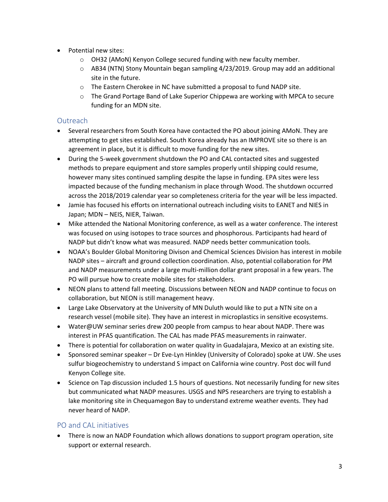- Potential new sites:
	- o OH32 (AMoN) Kenyon College secured funding with new faculty member.
	- $\circ$  AB34 (NTN) Stony Mountain began sampling 4/23/2019. Group may add an additional site in the future.
	- o The Eastern Cherokee in NC have submitted a proposal to fund NADP site.
	- o The Grand Portage Band of Lake Superior Chippewa are working with MPCA to secure funding for an MDN site.

#### Outreach

- Several researchers from South Korea have contacted the PO about joining AMoN. They are attempting to get sites established. South Korea already has an IMPROVE site so there is an agreement in place, but it is difficult to move funding for the new sites.
- During the 5-week government shutdown the PO and CAL contacted sites and suggested methods to prepare equipment and store samples properly until shipping could resume, however many sites continued sampling despite the lapse in funding. EPA sites were less impacted because of the funding mechanism in place through Wood. The shutdown occurred across the 2018/2019 calendar year so completeness criteria for the year will be less impacted.
- Jamie has focused his efforts on international outreach including visits to EANET and NIES in Japan; MDN – NEIS, NIER, Taiwan.
- Mike attended the National Monitoring conference, as well as a water conference. The interest was focused on using isotopes to trace sources and phosphorous. Participants had heard of NADP but didn't know what was measured. NADP needs better communication tools.
- NOAA's Boulder Global Monitoring Divison and Chemical Sciences Division has interest in mobile NADP sites – aircraft and ground collection coordination. Also, potential collaboration for PM and NADP measurements under a large multi-million dollar grant proposal in a few years. The PO will pursue how to create mobile sites for stakeholders.
- NEON plans to attend fall meeting. Discussions between NEON and NADP continue to focus on collaboration, but NEON is still management heavy.
- Large Lake Observatory at the University of MN Duluth would like to put a NTN site on a research vessel (mobile site). They have an interest in microplastics in sensitive ecosystems.
- Water@UW seminar series drew 200 people from campus to hear about NADP. There was interest in PFAS quantification. The CAL has made PFAS measurements in rainwater.
- There is potential for collaboration on water quality in Guadalajara, Mexico at an existing site.
- Sponsored seminar speaker Dr Eve-Lyn Hinkley (University of Colorado) spoke at UW. She uses sulfur biogeochemistry to understand S impact on California wine country. Post doc will fund Kenyon College site.
- Science on Tap discussion included 1.5 hours of questions. Not necessarily funding for new sites but communicated what NADP measures. USGS and NPS researchers are trying to establish a lake monitoring site in Chequamegon Bay to understand extreme weather events. They had never heard of NADP.

#### PO and CAL initiatives

 There is now an NADP Foundation which allows donations to support program operation, site support or external research.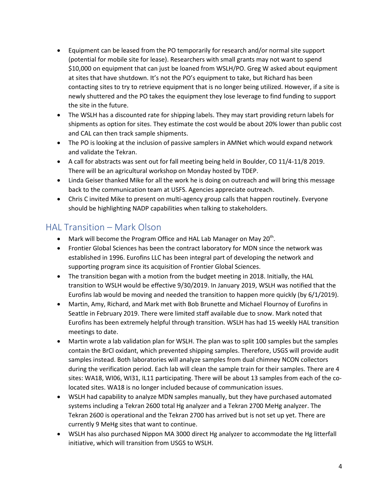- Equipment can be leased from the PO temporarily for research and/or normal site support (potential for mobile site for lease). Researchers with small grants may not want to spend \$10,000 on equipment that can just be loaned from WSLH/PO. Greg W asked about equipment at sites that have shutdown. It's not the PO's equipment to take, but Richard has been contacting sites to try to retrieve equipment that is no longer being utilized. However, if a site is newly shuttered and the PO takes the equipment they lose leverage to find funding to support the site in the future.
- The WSLH has a discounted rate for shipping labels. They may start providing return labels for shipments as option for sites. They estimate the cost would be about 20% lower than public cost and CAL can then track sample shipments.
- The PO is looking at the inclusion of passive samplers in AMNet which would expand network and validate the Tekran.
- A call for abstracts was sent out for fall meeting being held in Boulder, CO 11/4-11/8 2019. There will be an agricultural workshop on Monday hosted by TDEP.
- Linda Geiser thanked Mike for all the work he is doing on outreach and will bring this message back to the communication team at USFS. Agencies appreciate outreach.
- Chris C invited Mike to present on multi-agency group calls that happen routinely. Everyone should be highlighting NADP capabilities when talking to stakeholders.

### HAL Transition – Mark Olson

- Mark will become the Program Office and HAL Lab Manager on May 20<sup>th</sup>.
- Frontier Global Sciences has been the contract laboratory for MDN since the network was established in 1996. Eurofins LLC has been integral part of developing the network and supporting program since its acquisition of Frontier Global Sciences.
- The transition began with a motion from the budget meeting in 2018. Initially, the HAL transition to WSLH would be effective 9/30/2019. In January 2019, WSLH was notified that the Eurofins lab would be moving and needed the transition to happen more quickly (by 6/1/2019).
- Martin, Amy, Richard, and Mark met with Bob Brunette and Michael Flournoy of Eurofins in Seattle in February 2019. There were limited staff available due to snow. Mark noted that Eurofins has been extremely helpful through transition. WSLH has had 15 weekly HAL transition meetings to date.
- Martin wrote a lab validation plan for WSLH. The plan was to split 100 samples but the samples contain the BrCl oxidant, which prevented shipping samples. Therefore, USGS will provide audit samples instead. Both laboratories will analyze samples from dual chimney NCON collectors during the verification period. Each lab will clean the sample train for their samples. There are 4 sites: WA18, WI06, WI31, IL11 participating. There will be about 13 samples from each of the colocated sites. WA18 is no longer included because of communication issues.
- WSLH had capability to analyze MDN samples manually, but they have purchased automated systems including a Tekran 2600 total Hg analyzer and a Tekran 2700 MeHg analyzer. The Tekran 2600 is operational and the Tekran 2700 has arrived but is not set up yet. There are currently 9 MeHg sites that want to continue.
- WSLH has also purchased Nippon MA 3000 direct Hg analyzer to accommodate the Hg litterfall initiative, which will transition from USGS to WSLH.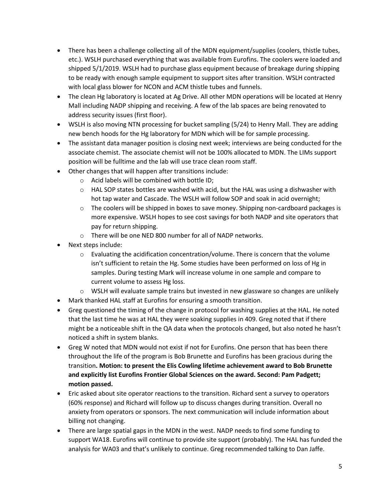- There has been a challenge collecting all of the MDN equipment/supplies (coolers, thistle tubes, etc.). WSLH purchased everything that was available from Eurofins. The coolers were loaded and shipped 5/1/2019. WSLH had to purchase glass equipment because of breakage during shipping to be ready with enough sample equipment to support sites after transition. WSLH contracted with local glass blower for NCON and ACM thistle tubes and funnels.
- The clean Hg laboratory is located at Ag Drive. All other MDN operations will be located at Henry Mall including NADP shipping and receiving. A few of the lab spaces are being renovated to address security issues (first floor).
- WSLH is also moving NTN processing for bucket sampling (5/24) to Henry Mall. They are adding new bench hoods for the Hg laboratory for MDN which will be for sample processing.
- The assistant data manager position is closing next week; interviews are being conducted for the associate chemist. The associate chemist will not be 100% allocated to MDN. The LIMs support position will be fulltime and the lab will use trace clean room staff.
- Other changes that will happen after transitions include:
	- o Acid labels will be combined with bottle ID;
	- $\circ$  HAL SOP states bottles are washed with acid, but the HAL was using a dishwasher with hot tap water and Cascade. The WSLH will follow SOP and soak in acid overnight;
	- $\circ$  The coolers will be shipped in boxes to save money. Shipping non-cardboard packages is more expensive. WSLH hopes to see cost savings for both NADP and site operators that pay for return shipping.
	- o There will be one NED 800 number for all of NADP networks.
- Next steps include:
	- $\circ$  Evaluating the acidification concentration/volume. There is concern that the volume isn't sufficient to retain the Hg. Some studies have been performed on loss of Hg in samples. During testing Mark will increase volume in one sample and compare to current volume to assess Hg loss.
	- $\circ$  WSLH will evaluate sample trains but invested in new glassware so changes are unlikely
- Mark thanked HAL staff at Eurofins for ensuring a smooth transition.
- Greg questioned the timing of the change in protocol for washing supplies at the HAL. He noted that the last time he was at HAL they were soaking supplies in 409. Greg noted that if there might be a noticeable shift in the QA data when the protocols changed, but also noted he hasn't noticed a shift in system blanks.
- Greg W noted that MDN would not exist if not for Eurofins. One person that has been there throughout the life of the program is Bob Brunette and Eurofins has been gracious during the transition**. Motion: to present the Elis Cowling lifetime achievement award to Bob Brunette and explicitly list Eurofins Frontier Global Sciences on the award. Second: Pam Padgett; motion passed.**
- Eric asked about site operator reactions to the transition. Richard sent a survey to operators (60% response) and Richard will follow up to discuss changes during transition. Overall no anxiety from operators or sponsors. The next communication will include information about billing not changing.
- There are large spatial gaps in the MDN in the west. NADP needs to find some funding to support WA18. Eurofins will continue to provide site support (probably). The HAL has funded the analysis for WA03 and that's unlikely to continue. Greg recommended talking to Dan Jaffe.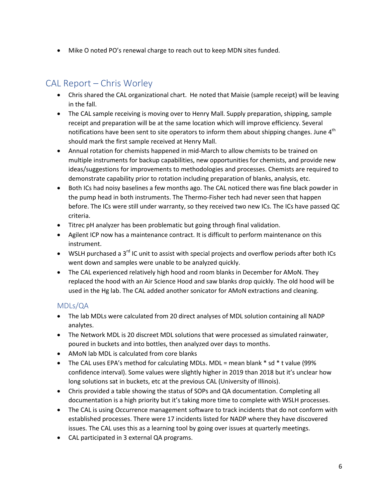• Mike O noted PO's renewal charge to reach out to keep MDN sites funded.

# CAL Report – Chris Worley

- Chris shared the CAL organizational chart. He noted that Maisie (sample receipt) will be leaving in the fall.
- The CAL sample receiving is moving over to Henry Mall. Supply preparation, shipping, sample receipt and preparation will be at the same location which will improve efficiency. Several notifications have been sent to site operators to inform them about shipping changes. June  $4<sup>th</sup>$ should mark the first sample received at Henry Mall.
- Annual rotation for chemists happened in mid-March to allow chemists to be trained on multiple instruments for backup capabilities, new opportunities for chemists, and provide new ideas/suggestions for improvements to methodologies and processes. Chemists are required to demonstrate capability prior to rotation including preparation of blanks, analysis, etc.
- Both ICs had noisy baselines a few months ago. The CAL noticed there was fine black powder in the pump head in both instruments. The Thermo-Fisher tech had never seen that happen before. The ICs were still under warranty, so they received two new ICs. The ICs have passed QC criteria.
- Titrec pH analyzer has been problematic but going through final validation.
- Agilent ICP now has a maintenance contract. It is difficult to perform maintenance on this instrument.
- $\bullet$  WSLH purchased a 3<sup>rd</sup> IC unit to assist with special projects and overflow periods after both ICs went down and samples were unable to be analyzed quickly.
- The CAL experienced relatively high hood and room blanks in December for AMoN. They replaced the hood with an Air Science Hood and saw blanks drop quickly. The old hood will be used in the Hg lab. The CAL added another sonicator for AMoN extractions and cleaning.

#### MDLs/QA

- The lab MDLs were calculated from 20 direct analyses of MDL solution containing all NADP analytes.
- The Network MDL is 20 discreet MDL solutions that were processed as simulated rainwater, poured in buckets and into bottles, then analyzed over days to months.
- AMoN lab MDL is calculated from core blanks
- The CAL uses EPA's method for calculating MDLs. MDL = mean blank  $*$  sd  $*$  t value (99%) confidence interval). Some values were slightly higher in 2019 than 2018 but it's unclear how long solutions sat in buckets, etc at the previous CAL (University of Illinois).
- Chris provided a table showing the status of SOPs and QA documentation. Completing all documentation is a high priority but it's taking more time to complete with WSLH processes.
- The CAL is using Occurrence management software to track incidents that do not conform with established processes. There were 17 incidents listed for NADP where they have discovered issues. The CAL uses this as a learning tool by going over issues at quarterly meetings.
- CAL participated in 3 external QA programs.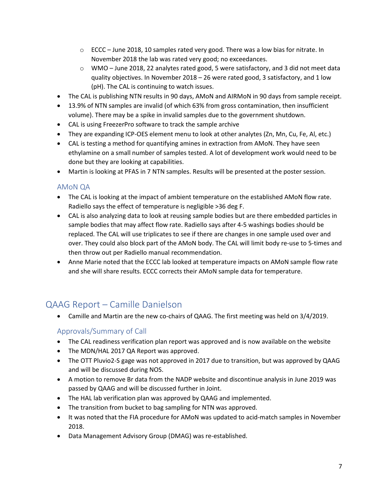- $\circ$  ECCC June 2018, 10 samples rated very good. There was a low bias for nitrate. In November 2018 the lab was rated very good; no exceedances.
- $\circ$  WMO June 2018, 22 analytes rated good, 5 were satisfactory, and 3 did not meet data quality objectives. In November 2018 – 26 were rated good, 3 satisfactory, and 1 low (pH). The CAL is continuing to watch issues.
- The CAL is publishing NTN results in 90 days, AMoN and AIRMoN in 90 days from sample receipt.
- 13.9% of NTN samples are invalid (of which 63% from gross contamination, then insufficient volume). There may be a spike in invalid samples due to the government shutdown.
- CAL is using FreezerPro software to track the sample archive
- They are expanding ICP-OES element menu to look at other analytes (Zn, Mn, Cu, Fe, Al, etc.)
- CAL is testing a method for quantifying amines in extraction from AMoN. They have seen ethylamine on a small number of samples tested. A lot of development work would need to be done but they are looking at capabilities.
- Martin is looking at PFAS in 7 NTN samples. Results will be presented at the poster session.

#### AMoN QA

- The CAL is looking at the impact of ambient temperature on the established AMoN flow rate. Radiello says the effect of temperature is negligible >36 deg F.
- CAL is also analyzing data to look at reusing sample bodies but are there embedded particles in sample bodies that may affect flow rate. Radiello says after 4-5 washings bodies should be replaced. The CAL will use triplicates to see if there are changes in one sample used over and over. They could also block part of the AMoN body. The CAL will limit body re-use to 5-times and then throw out per Radiello manual recommendation.
- Anne Marie noted that the ECCC lab looked at temperature impacts on AMoN sample flow rate and she will share results. ECCC corrects their AMoN sample data for temperature.

### QAAG Report – Camille Danielson

Camille and Martin are the new co-chairs of QAAG. The first meeting was held on 3/4/2019.

#### Approvals/Summary of Call

- The CAL readiness verification plan report was approved and is now available on the website
- The MDN/HAL 2017 QA Report was approved.
- The OTT Pluvio2-S gage was not approved in 2017 due to transition, but was approved by QAAG and will be discussed during NOS.
- A motion to remove Br data from the NADP website and discontinue analysis in June 2019 was passed by QAAG and will be discussed further in Joint.
- The HAL lab verification plan was approved by QAAG and implemented.
- The transition from bucket to bag sampling for NTN was approved.
- It was noted that the FIA procedure for AMoN was updated to acid-match samples in November 2018.
- Data Management Advisory Group (DMAG) was re-established.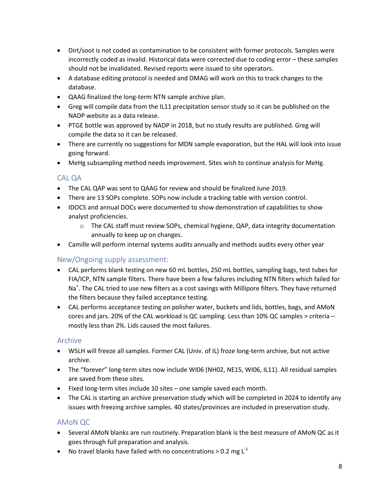- Dirt/soot is not coded as contamination to be consistent with former protocols. Samples were incorrectly coded as invalid. Historical data were corrected due to coding error – these samples should not be invalidated. Revised reports were issued to site operators.
- A database editing protocol is needed and DMAG will work on this to track changes to the database.
- QAAG finalized the long-term NTN sample archive plan.
- Greg will compile data from the IL11 precipitation sensor study so it can be published on the NADP website as a data release.
- PTGE bottle was approved by NADP in 2018, but no study results are published. Greg will compile the data so it can be released.
- There are currently no suggestions for MDN sample evaporation, but the HAL will look into issue going forward.
- MeHg subsampling method needs improvement. Sites wish to continue analysis for MeHg.

#### CAL QA

- The CAL QAP was sent to QAAG for review and should be finalized June 2019.
- There are 13 SOPs complete. SOPs now include a tracking table with version control.
- IDOCS and annual DOCs were documented to show demonstration of capabilities to show analyst proficiencies.
	- o The CAL staff must review SOPs, chemical hygiene, QAP, data integrity documentation annually to keep up on changes.
- Camille will perform internal systems audits annually and methods audits every other year

#### New/Ongoing supply assessment:

- CAL performs blank testing on new 60 mL bottles, 250 mL bottles, sampling bags, test tubes for FIA/ICP, NTN sample filters. There have been a few failures including NTN filters which failed for Na<sup>+</sup>. The CAL tried to use new filters as a cost savings with Millipore filters. They have returned the filters because they failed acceptance testing.
- CAL performs acceptance testing on polisher water, buckets and lids, bottles, bags, and AMoN cores and jars. 20% of the CAL workload is QC sampling. Less than 10% QC samples > criteria – mostly less than 2%. Lids caused the most failures.

#### Archive

- WSLH will freeze all samples. Former CAL (Univ. of IL) froze long-term archive, but not active archive.
- The "forever" long-term sites now include WI06 (NH02, NE15, WI06, IL11). All residual samples are saved from these sites.
- Fixed long-term sites include 10 sites one sample saved each month.
- The CAL is starting an archive preservation study which will be completed in 2024 to identify any issues with freezing archive samples. 40 states/provinces are included in preservation study.

#### AMoN QC

- Several AMoN blanks are run routinely. Preparation blank is the best measure of AMoN QC as it goes through full preparation and analysis.
- No travel blanks have failed with no concentrations > 0.2 mg  $L^{-1}$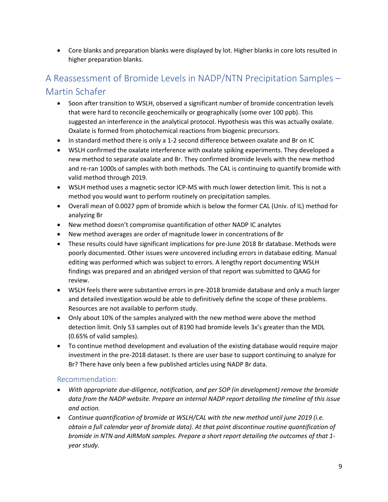Core blanks and preparation blanks were displayed by lot. Higher blanks in core lots resulted in higher preparation blanks.

# A Reassessment of Bromide Levels in NADP/NTN Precipitation Samples – Martin Schafer

- Soon after transition to WSLH, observed a significant number of bromide concentration levels that were hard to reconcile geochemically or geographically (some over 100 ppb). This suggested an interference in the analytical protocol. Hypothesis was this was actually oxalate. Oxalate is formed from photochemical reactions from biogenic precursors.
- In standard method there is only a 1-2 second difference between oxalate and Br on IC
- WSLH confirmed the oxalate interference with oxalate spiking experiments. They developed a new method to separate oxalate and Br. They confirmed bromide levels with the new method and re-ran 1000s of samples with both methods. The CAL is continuing to quantify bromide with valid method through 2019.
- WSLH method uses a magnetic sector ICP-MS with much lower detection limit. This is not a method you would want to perform routinely on precipitation samples.
- Overall mean of 0.0027 ppm of bromide which is below the former CAL (Univ. of IL) method for analyzing Br
- New method doesn't compromise quantification of other NADP IC analytes
- New method averages are order of magnitude lower in concentrations of Br
- These results could have significant implications for pre-June 2018 Br database. Methods were poorly documented. Other issues were uncovered including errors in database editing. Manual editing was performed which was subject to errors. A lengthy report documenting WSLH findings was prepared and an abridged version of that report was submitted to QAAG for review.
- WSLH feels there were substantive errors in pre-2018 bromide database and only a much larger and detailed investigation would be able to definitively define the scope of these problems. Resources are not available to perform study.
- Only about 10% of the samples analyzed with the new method were above the method detection limit. Only 53 samples out of 8190 had bromide levels 3x's greater than the MDL (0.65% of valid samples).
- To continue method development and evaluation of the existing database would require major investment in the pre-2018 dataset. Is there are user base to support continuing to analyze for Br? There have only been a few published articles using NADP Br data.

#### Recommendation:

- *With appropriate due-diligence, notification, and per SOP (in development) remove the bromide data from the NADP website. Prepare an internal NADP report detailing the timeline of this issue and action.*
- *Continue quantification of bromide at WSLH/CAL with the new method until june 2019 (i.e. obtain a full calendar year of bromide data). At that point discontinue routine quantification of bromide in NTN and AIRMoN samples. Prepare a short report detailing the outcomes of that 1 year study.*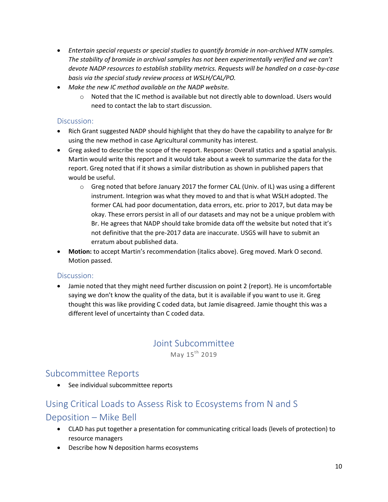- *Entertain special requests or special studies to quantify bromide in non-archived NTN samples. The stability of bromide in archival samples has not been experimentally verified and we can't devote NADP resources to establish stability metrics. Requests will be handled on a case-by-case basis via the special study review process at WSLH/CAL/PO.*
- *Make the new IC method available on the NADP website.*
	- $\circ$  Noted that the IC method is available but not directly able to download. Users would need to contact the lab to start discussion.

#### Discussion:

- Rich Grant suggested NADP should highlight that they do have the capability to analyze for Br using the new method in case Agricultural community has interest.
- Greg asked to describe the scope of the report. Response: Overall statics and a spatial analysis. Martin would write this report and it would take about a week to summarize the data for the report. Greg noted that if it shows a similar distribution as shown in published papers that would be useful.
	- $\circ$  Greg noted that before January 2017 the former CAL (Univ. of IL) was using a different instrument. Integrion was what they moved to and that is what WSLH adopted. The former CAL had poor documentation, data errors, etc. prior to 2017, but data may be okay. These errors persist in all of our datasets and may not be a unique problem with Br. He agrees that NADP should take bromide data off the website but noted that it's not definitive that the pre-2017 data are inaccurate. USGS will have to submit an erratum about published data.
- **Motion:** to accept Martin's recommendation (italics above). Greg moved. Mark O second. Motion passed.

#### Discussion:

 Jamie noted that they might need further discussion on point 2 (report). He is uncomfortable saying we don't know the quality of the data, but it is available if you want to use it. Greg thought this was like providing C coded data, but Jamie disagreed. Jamie thought this was a different level of uncertainty than C coded data.

#### Joint Subcommittee May  $15^{\text{th}}$  2019

### Subcommittee Reports

• See individual subcommittee reports

# Using Critical Loads to Assess Risk to Ecosystems from N and S Deposition – Mike Bell

- CLAD has put together a presentation for communicating critical loads (levels of protection) to resource managers
- Describe how N deposition harms ecosystems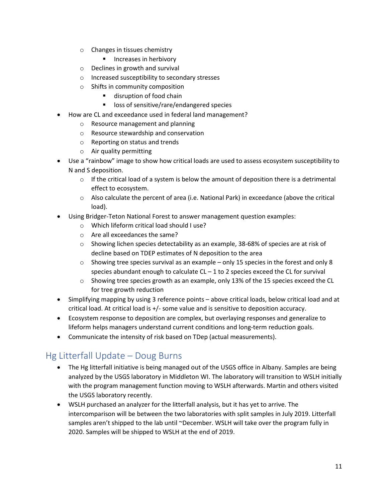- o Changes in tissues chemistry
	- **Increases in herbivory**
- o Declines in growth and survival
- o Increased susceptibility to secondary stresses
- o Shifts in community composition
	- disruption of food chain
	- loss of sensitive/rare/endangered species
- How are CL and exceedance used in federal land management?
	- o Resource management and planning
	- o Resource stewardship and conservation
	- o Reporting on status and trends
	- o Air quality permitting
- Use a "rainbow" image to show how critical loads are used to assess ecosystem susceptibility to N and S deposition.
	- $\circ$  If the critical load of a system is below the amount of deposition there is a detrimental effect to ecosystem.
	- o Also calculate the percent of area (i.e. National Park) in exceedance (above the critical load).
- Using Bridger-Teton National Forest to answer management question examples:
	- o Which lifeform critical load should I use?
	- o Are all exceedances the same?
	- o Showing lichen species detectability as an example, 38-68% of species are at risk of decline based on TDEP estimates of N deposition to the area
	- $\circ$  Showing tree species survival as an example only 15 species in the forest and only 8 species abundant enough to calculate  $CL - 1$  to 2 species exceed the  $CL$  for survival
	- $\circ$  Showing tree species growth as an example, only 13% of the 15 species exceed the CL for tree growth reduction
- Simplifying mapping by using 3 reference points above critical loads, below critical load and at critical load. At critical load is +/- some value and is sensitive to deposition accuracy.
- Ecosystem response to deposition are complex, but overlaying responses and generalize to lifeform helps managers understand current conditions and long-term reduction goals.
- Communicate the intensity of risk based on TDep (actual measurements).

# Hg Litterfall Update – Doug Burns

- The Hg litterfall initiative is being managed out of the USGS office in Albany. Samples are being analyzed by the USGS laboratory in Middleton WI. The laboratory will transition to WSLH initially with the program management function moving to WSLH afterwards. Martin and others visited the USGS laboratory recently.
- WSLH purchased an analyzer for the litterfall analysis, but it has yet to arrive. The intercomparison will be between the two laboratories with split samples in July 2019. Litterfall samples aren't shipped to the lab until ~December. WSLH will take over the program fully in 2020. Samples will be shipped to WSLH at the end of 2019.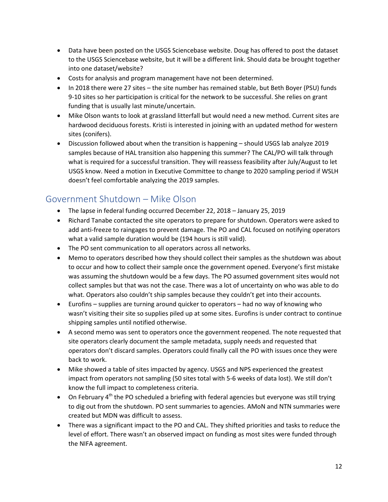- Data have been posted on the USGS Sciencebase website. Doug has offered to post the dataset to the USGS Sciencebase website, but it will be a different link. Should data be brought together into one dataset/website?
- Costs for analysis and program management have not been determined.
- In 2018 there were 27 sites the site number has remained stable, but Beth Boyer (PSU) funds 9-10 sites so her participation is critical for the network to be successful. She relies on grant funding that is usually last minute/uncertain.
- Mike Olson wants to look at grassland litterfall but would need a new method. Current sites are hardwood deciduous forests. Kristi is interested in joining with an updated method for western sites (conifers).
- Discussion followed about when the transition is happening should USGS lab analyze 2019 samples because of HAL transition also happening this summer? The CAL/PO will talk through what is required for a successful transition. They will reassess feasibility after July/August to let USGS know. Need a motion in Executive Committee to change to 2020 sampling period if WSLH doesn't feel comfortable analyzing the 2019 samples.

# Government Shutdown – Mike Olson

- The lapse in federal funding occurred December 22, 2018 January 25, 2019
- Richard Tanabe contacted the site operators to prepare for shutdown. Operators were asked to add anti-freeze to raingages to prevent damage. The PO and CAL focused on notifying operators what a valid sample duration would be (194 hours is still valid).
- The PO sent communication to all operators across all networks.
- Memo to operators described how they should collect their samples as the shutdown was about to occur and how to collect their sample once the government opened. Everyone's first mistake was assuming the shutdown would be a few days. The PO assumed government sites would not collect samples but that was not the case. There was a lot of uncertainty on who was able to do what. Operators also couldn't ship samples because they couldn't get into their accounts.
- Eurofins supplies are turning around quicker to operators had no way of knowing who wasn't visiting their site so supplies piled up at some sites. Eurofins is under contract to continue shipping samples until notified otherwise.
- A second memo was sent to operators once the government reopened. The note requested that site operators clearly document the sample metadata, supply needs and requested that operators don't discard samples. Operators could finally call the PO with issues once they were back to work.
- Mike showed a table of sites impacted by agency. USGS and NPS experienced the greatest impact from operators not sampling (50 sites total with 5-6 weeks of data lost). We still don't know the full impact to completeness criteria.
- $\bullet$  On February 4<sup>th</sup> the PO scheduled a briefing with federal agencies but everyone was still trying to dig out from the shutdown. PO sent summaries to agencies. AMoN and NTN summaries were created but MDN was difficult to assess.
- There was a significant impact to the PO and CAL. They shifted priorities and tasks to reduce the level of effort. There wasn't an observed impact on funding as most sites were funded through the NIFA agreement.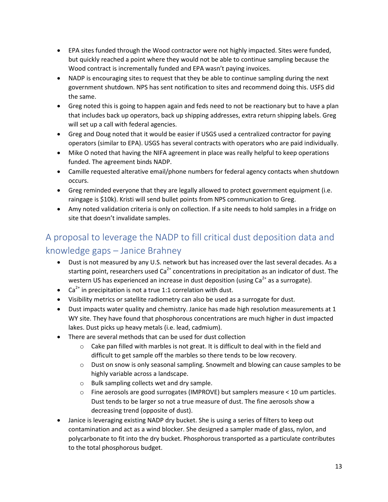- EPA sites funded through the Wood contractor were not highly impacted. Sites were funded, but quickly reached a point where they would not be able to continue sampling because the Wood contract is incrementally funded and EPA wasn't paying invoices.
- NADP is encouraging sites to request that they be able to continue sampling during the next government shutdown. NPS has sent notification to sites and recommend doing this. USFS did the same.
- Greg noted this is going to happen again and feds need to not be reactionary but to have a plan that includes back up operators, back up shipping addresses, extra return shipping labels. Greg will set up a call with federal agencies.
- Greg and Doug noted that it would be easier if USGS used a centralized contractor for paying operators (similar to EPA). USGS has several contracts with operators who are paid individually.
- Mike O noted that having the NIFA agreement in place was really helpful to keep operations funded. The agreement binds NADP.
- Camille requested alterative email/phone numbers for federal agency contacts when shutdown occurs.
- Greg reminded everyone that they are legally allowed to protect government equipment (i.e. raingage is \$10k). Kristi will send bullet points from NPS communication to Greg.
- Amy noted validation criteria is only on collection. If a site needs to hold samples in a fridge on site that doesn't invalidate samples.

# A proposal to leverage the NADP to fill critical dust deposition data and knowledge gaps – Janice Brahney

- Dust is not measured by any U.S. network but has increased over the last several decades. As a starting point, researchers used  $Ca<sup>2+</sup>$  concentrations in precipitation as an indicator of dust. The western US has experienced an increase in dust deposition (using  $Ca<sup>2+</sup>$  as a surrogate).
- Ca<sup>2+</sup> in precipitation is not a true 1:1 correlation with dust.
- Visibility metrics or satellite radiometry can also be used as a surrogate for dust.
- Dust impacts water quality and chemistry. Janice has made high resolution measurements at 1 WY site. They have found that phosphorous concentrations are much higher in dust impacted lakes. Dust picks up heavy metals (i.e. lead, cadmium).
- There are several methods that can be used for dust collection
	- $\circ$  Cake pan filled with marbles is not great. It is difficult to deal with in the field and difficult to get sample off the marbles so there tends to be low recovery.
	- $\circ$  Dust on snow is only seasonal sampling. Snowmelt and blowing can cause samples to be highly variable across a landscape.
	- o Bulk sampling collects wet and dry sample.
	- $\circ$  Fine aerosols are good surrogates (IMPROVE) but samplers measure < 10 um particles. Dust tends to be larger so not a true measure of dust. The fine aerosols show a decreasing trend (opposite of dust).
- Janice is leveraging existing NADP dry bucket. She is using a series of filters to keep out contamination and act as a wind blocker. She designed a sampler made of glass, nylon, and polycarbonate to fit into the dry bucket. Phosphorous transported as a particulate contributes to the total phosphorous budget.